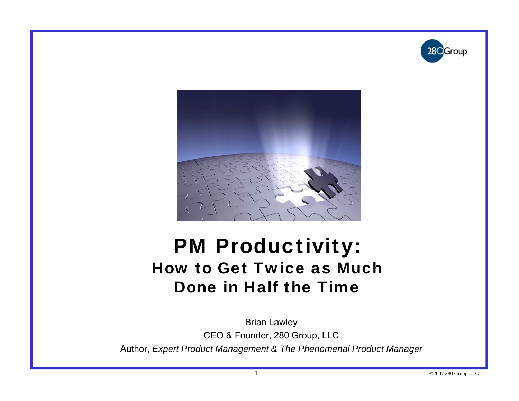



#### PM Productivity: How to Get Twice as Much Done in Half the Time

Brian Lawle y CEO & Founder, 280 Group, LLC Author, *Expert Product Management & The Phenomenal Product Manager*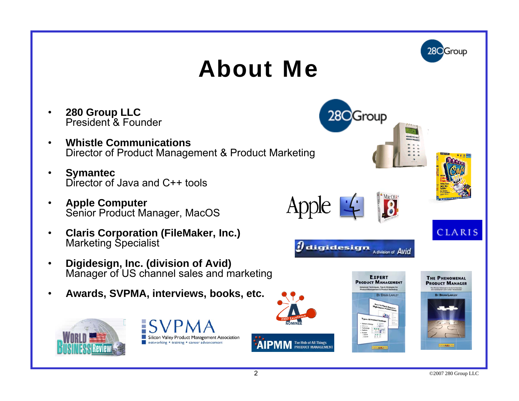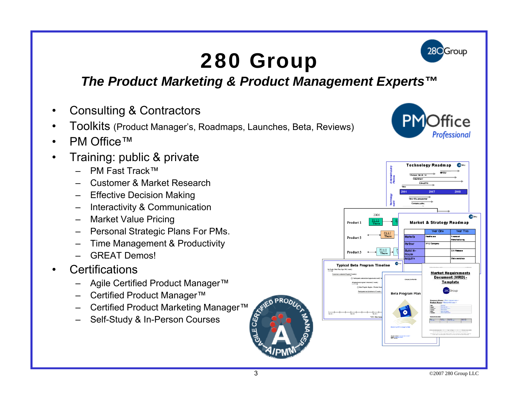### 280 Group



#### *The Product Marketing & Product Management Experts™*

- •Consulting & Contractors
- •• Toolkits (Product Manager's, Roadmaps, Launches, Beta, Reviews)
- •PM Office™
- • Training: public & private
	- –PM Fast Track™
	- Customer & Market Research
	- Effective Decision Making
	- Interactivity & Communication
	- Market Value Pricing
	- –Personal Strategic Plans For PMs.
	- –Time Management & Productivity
	- GREAT Demos!
- •**Certifications** 
	- Agile Certified Product Manager™
	- Certified Product Manager™
	- Certified Product Marketing Manager™
	- Self-Study & In-Person Courses





CERTIC

ய்

**INED PRO**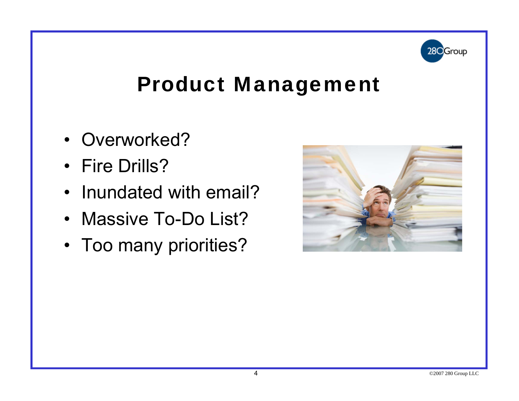

#### Product Management

- Overworked?
- Fire Drills?
- Inundated with email?
- Massive To-Do List?
- Too many priorities?

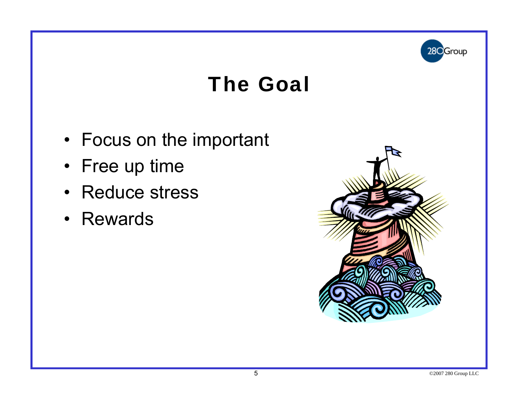

#### The Goal

- Focus on the important
- Free up time
- Reduce stress
- Rewards

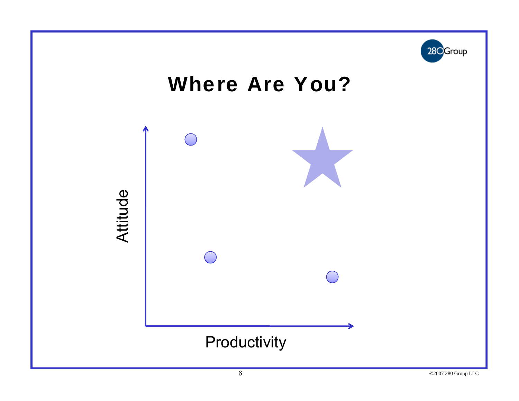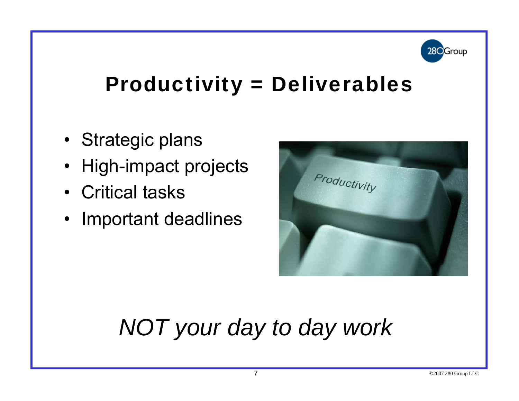

#### Productivity = Deliverables

- Strategic plans
- $\bullet\,$  High-impact projects
- Critical tasks
- Im portant deadlines



## *NOT your day to day work*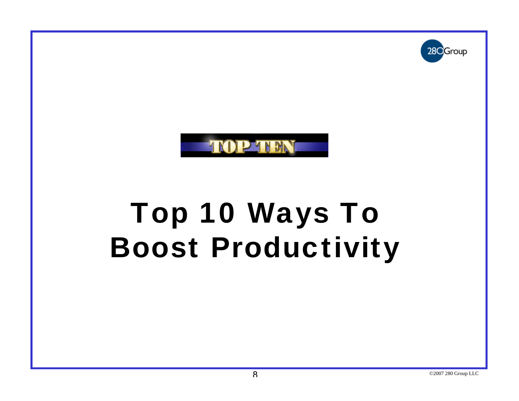



# Top 10 Ways To Boost Productivity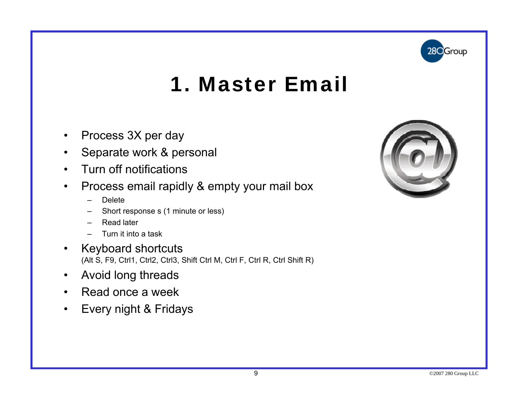

#### 1. Master Email

- $\bullet$ Process 3X per day
- $\bullet$ Separate work & personal
- $\bullet$ Turn off notifications
- $\bullet$  Process email rapidly & empty your mail box
	- Delete
	- Short response s (1 minute or less)
	- Read later
	- Turn it into a task
- • Keyboard shortcuts (Alt S, F9, Ctrl1, Ctrl2, Ctrl3, Shift Ctrl M, Ctrl F, Ctrl R, Ctrl Shift R)
- $\bullet$ Avoid long threads
- $\bullet$ Read once a week
- $\bullet$ Every night & Fridays

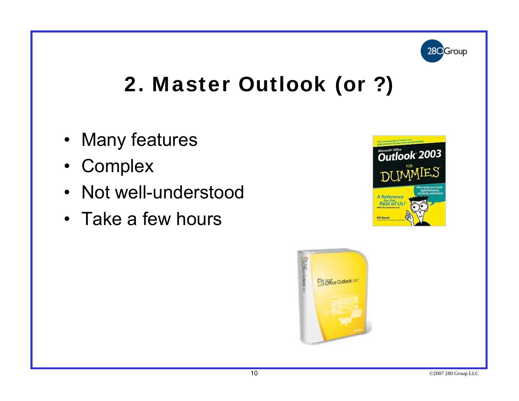

#### 2. Master Outlook (or ?)

- Many features
- Com plex
- Not well-understood
- Take a few hours



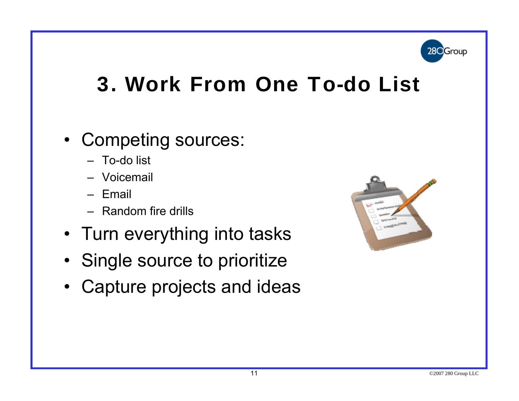

#### 3. Work From One To-do List

#### • Competing sources:

- To-do list
- Voicemail
- Email
- Random fire drills
- Turn everything into tasks
- Single source to prioritize
- Capture projects and ideas

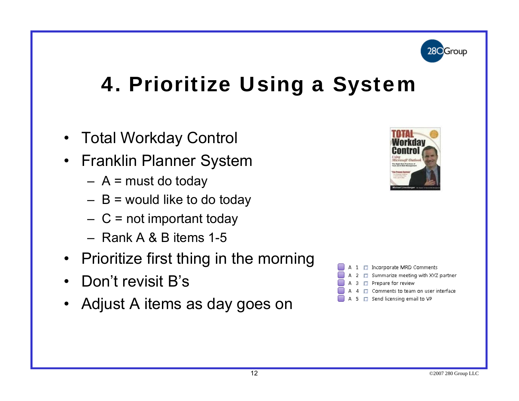

### 4. Prioritize Using a System

- $\bullet$ Total Workday Control
- $\bullet$  Franklin Planner System
	- A = must do today
	- B = would like to do today
	- $-$  C = not important today
	- Rank A & B items 1-5
- Prioritize first thing in the morning
- Don't revisit  $\mathsf B$ 's
- $\bullet$ Adjust A items as day goes on



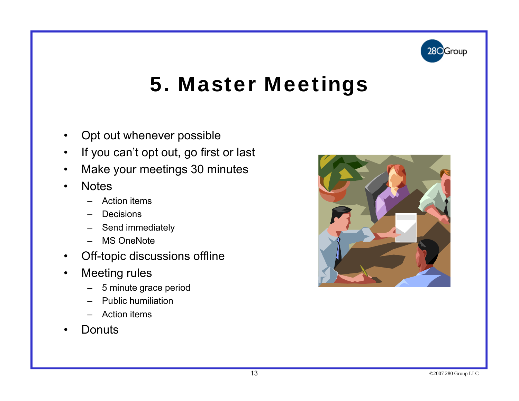

#### 5. Master Meetings

- $\bullet$ Opt out whenever possible
- $\bullet$ If you can't opt out, go first or last
- $\bullet$ Make your meetings 30 minutes
- $\bullet$ **Notes** 
	- Action items
	- Decisions
	- Send immediately
	- MS OneNote
- $\bullet$ Off-topic discussions offline
- $\bullet$  Meeting rules
	- 5 minute grace period
	- –Public humiliation
	- Action items
- Donuts •

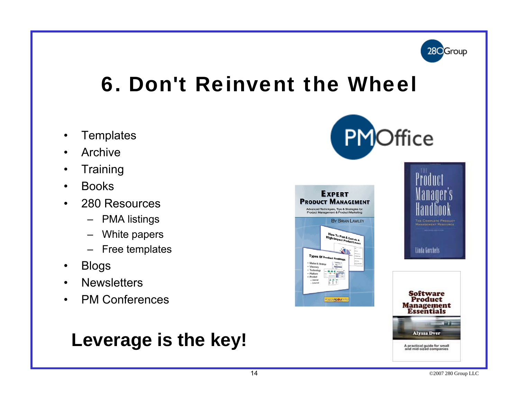

### 6. Don't Reinvent the Wheel

- $\bullet$ **Templates**
- $\bullet$ Archive
- $\bullet$ Trainin g
- $\bullet$ Books
- • 280 Resources
	- PMA listings
	- White papers
	- Free templates
- $\bullet$ Blogs
- $\bullet$ **Newsletters**
- $\bullet$ PM Conferences

#### **Leverage is the key!**







A practical guide for small<br>and mid-sized companies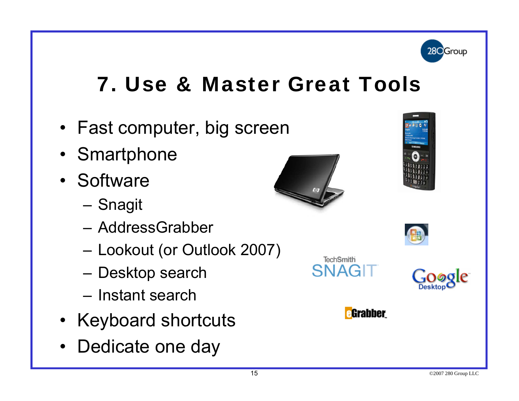

#### 7. Use & Master Great Tools

- Fast computer, big screen
- Smartphone
- Software
	- Snagit
	- AddressGrabber
	- Lookout (or Outlook 2007)
	- Desktop search
	- Instant search
- Keyboard shortcuts • Keyboard shortcuts<br>• Dedicate one day
- Dedicate one day











**TechSmith SNAGIT**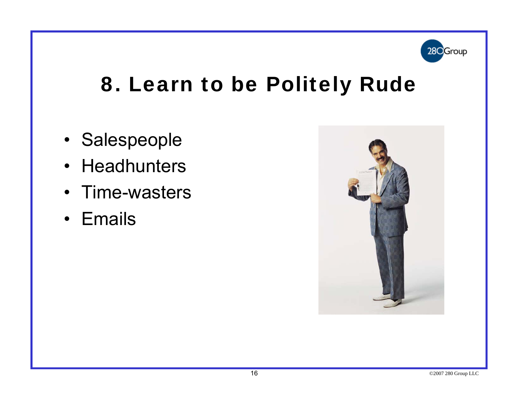

#### 8. Learn to be Politely Rude

- Salespeople
- Headhunters
- Time-wasters
- Emails

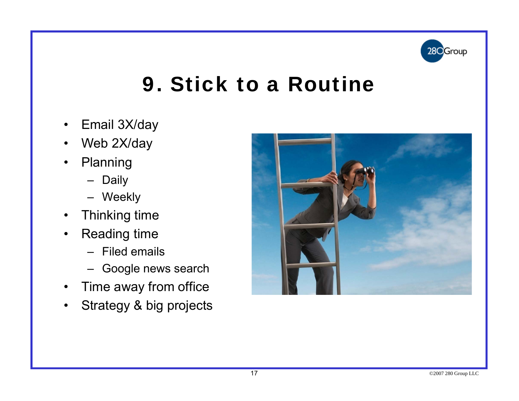

#### 9. Stick to a Routine

- $\bullet$ Email 3X/day
- $\bullet$ Web 2X/day
- $\bullet$  Planning
	- Daily
	- Weekly
- $\bullet$ Thinking time
- $\bullet$  Reading time
	- Filed emails
	- Google news search
- $\bullet$ Time away from office
- •Strategy & big projects

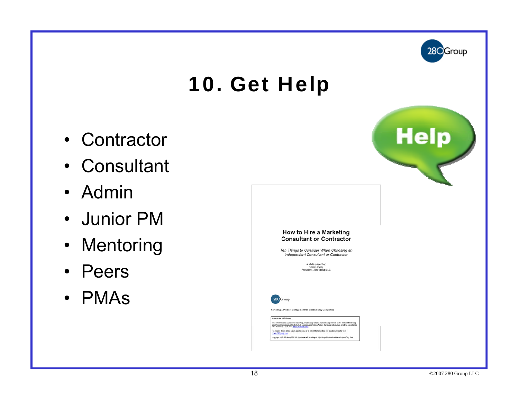

### 10. Get Help

- Contractor
- Consultant
- Admin
- Junior PM
- Mentoring
- Peers
- PMAs

|                                                                                                                                                                                                                                                                                                                                                                                                                                                                                                                                                                                                                  | <b>Help</b> |
|------------------------------------------------------------------------------------------------------------------------------------------------------------------------------------------------------------------------------------------------------------------------------------------------------------------------------------------------------------------------------------------------------------------------------------------------------------------------------------------------------------------------------------------------------------------------------------------------------------------|-------------|
| How to Hire a Marketing<br><b>Consultant or Contractor</b><br>Ten Things to Consider When Choosing an<br>Independent Consultant or Contractor<br>a white paper by:<br>Brian Lawley<br>President, 280 Group LLC                                                                                                                                                                                                                                                                                                                                                                                                   |             |
| 28 <sup>O</sup> Group<br>Marketing & Product Management for Silicon Valley Companies<br>About the 280 Group<br>The 190 Group LLC provides consulting, contracting, training and coaching services in the sress of Matheting<br>and Product Management to high-ach companies in Silicon Valley. For more information or a free consultation<br>call<br>To receive ficture white papers like that one or to unbicitibe to the fire 200 Issider sew detter visit<br>anny 200 month com-<br>Copyright 2000 200 Group LLC. All tights reserved, including the right of reproduction in whole or in port of ray firms. |             |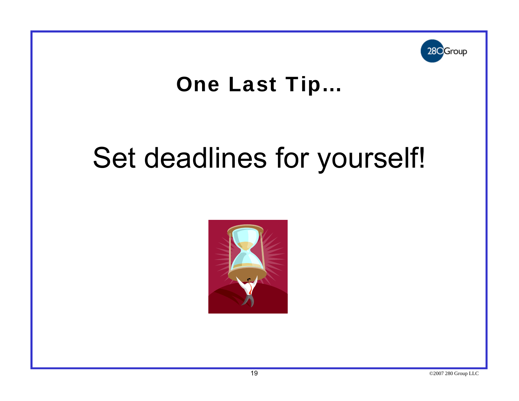

#### One Last Tip…

# Set deadlines for yourself!

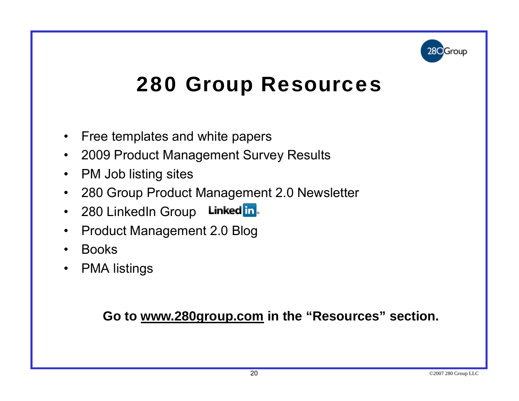

### 280 Group Resources

- $\bullet$ Free templates and white papers
- •2009 Product Management Survey Results
- $\,$  PM Job listing sites
- $\bullet$ 280 Group Product Management 2.0 Newsletter
- Linked <mark>in</mark>. • 280 LinkedIn Group
- $\bullet$ Product Management 2.0 Blog
- •Books
- PMA listings

**Go to www.280group.com in the "Resources" section.**